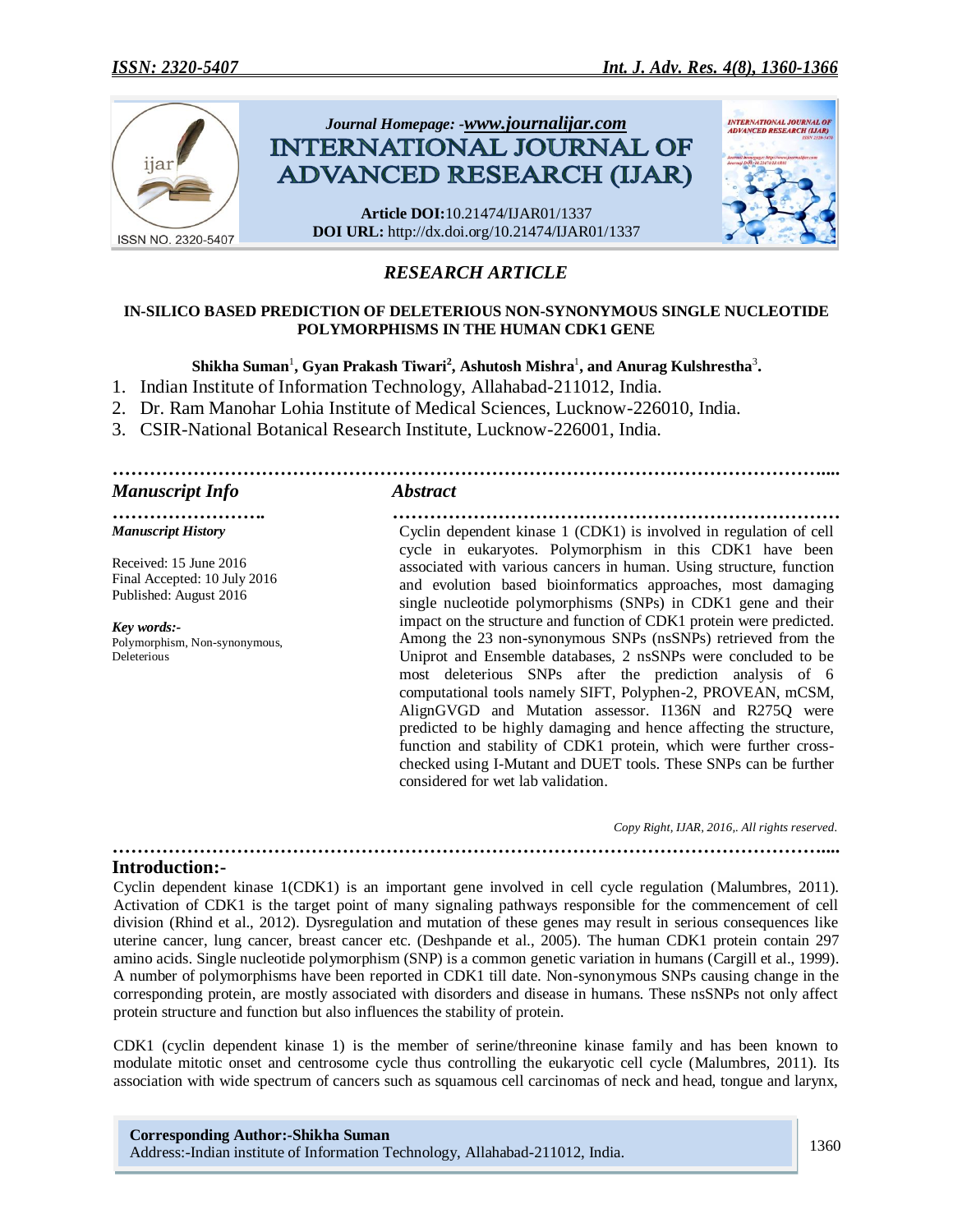

# *RESEARCH ARTICLE*

# **IN-SILICO BASED PREDICTION OF DELETERIOUS NON-SYNONYMOUS SINGLE NUCLEOTIDE POLYMORPHISMS IN THE HUMAN CDK1 GENE**

# **Shikha Suman**<sup>1</sup> **, Gyan Prakash Tiwari<sup>2</sup> , Ashutosh Mishra**<sup>1</sup> **, and Anurag Kulshrestha**<sup>3</sup> **.**

- 1. Indian Institute of Information Technology, Allahabad-211012, India.
- 2. Dr. Ram Manohar Lohia Institute of Medical Sciences, Lucknow-226010, India.
- 3. CSIR-National Botanical Research Institute, Lucknow-226001, India.

# *…………………………………………………………………………………………………….... Manuscript Info Abstract*

*Manuscript History*

Received: 15 June 2016 Final Accepted: 10 July 2016 Published: August 2016

*Key words:-* Polymorphism, Non-synonymous, Deleterious

*……………………. ………………………………………………………………* Cyclin dependent kinase 1 (CDK1) is involved in regulation of cell cycle in eukaryotes. Polymorphism in this CDK1 have been associated with various cancers in human. Using structure, function and evolution based bioinformatics approaches, most damaging single nucleotide polymorphisms (SNPs) in CDK1 gene and their impact on the structure and function of CDK1 protein were predicted. Among the 23 non-synonymous SNPs (nsSNPs) retrieved from the Uniprot and Ensemble databases, 2 nsSNPs were concluded to be most deleterious SNPs after the prediction analysis of 6 computational tools namely SIFT, Polyphen-2, PROVEAN, mCSM, AlignGVGD and Mutation assessor. I136N and R275Q were predicted to be highly damaging and hence affecting the structure, function and stability of CDK1 protein, which were further crosschecked using I-Mutant and DUET tools. These SNPs can be further considered for wet lab validation.

*Copy Right, IJAR, 2016,. All rights reserved.*

#### **Introduction:-**

Cyclin dependent kinase 1(CDK1) is an important gene involved in cell cycle regulation (Malumbres, 2011). Activation of CDK1 is the target point of many signaling pathways responsible for the commencement of cell division (Rhind et al., 2012). Dysregulation and mutation of these genes may result in serious consequences like uterine cancer, lung cancer, breast cancer etc. (Deshpande et al., 2005). The human CDK1 protein contain 297 amino acids. Single nucleotide polymorphism (SNP) is a common genetic variation in humans (Cargill et al., 1999). A number of polymorphisms have been reported in CDK1 till date. Non-synonymous SNPs causing change in the corresponding protein, are mostly associated with disorders and disease in humans. These nsSNPs not only affect protein structure and function but also influences the stability of protein.

*……………………………………………………………………………………………………....*

CDK1 (cyclin dependent kinase 1) is the member of serine/threonine kinase family and has been known to modulate mitotic onset and centrosome cycle thus controlling the eukaryotic cell cycle (Malumbres, 2011). Its association with wide spectrum of cancers such as squamous cell carcinomas of neck and head, tongue and larynx,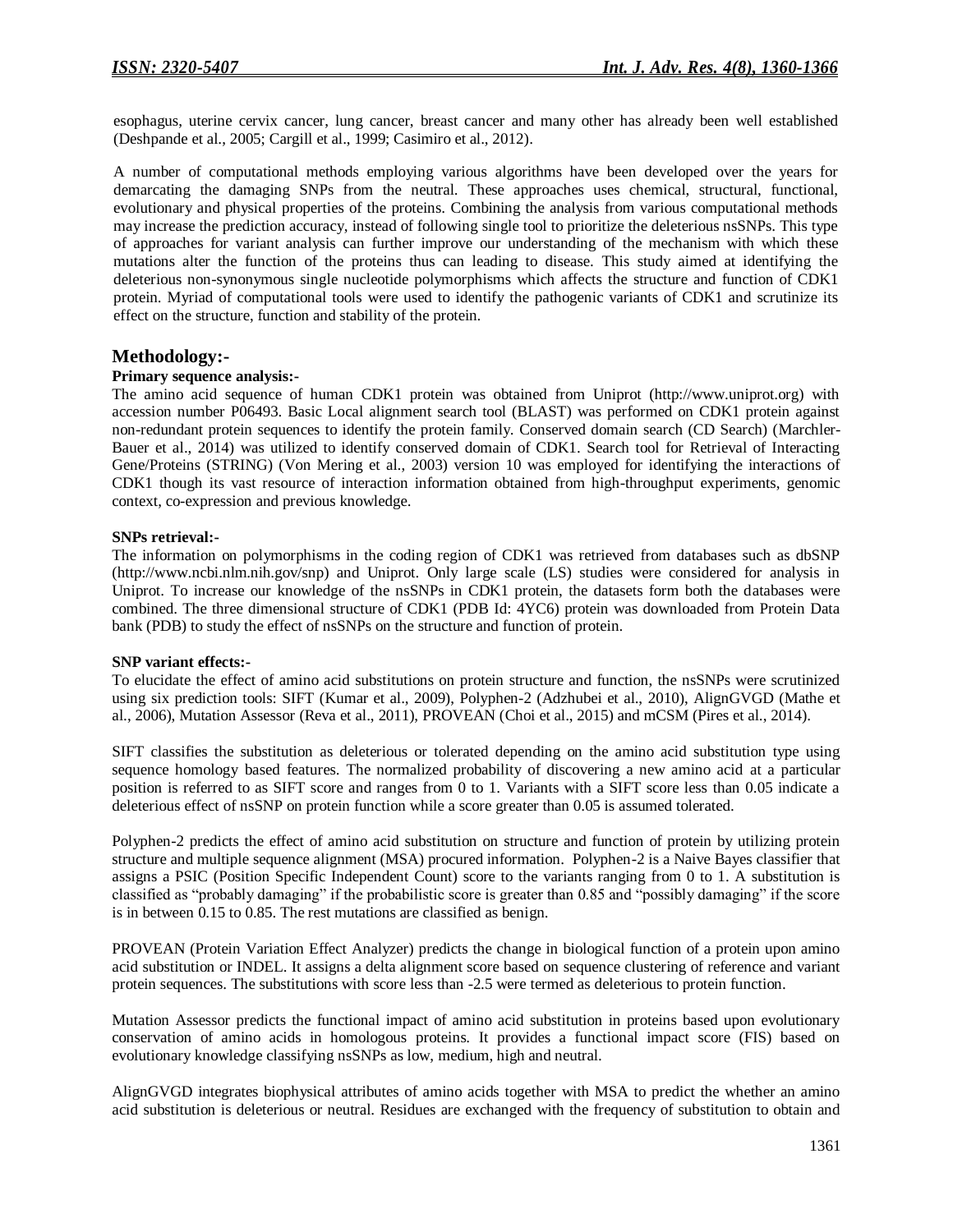esophagus, uterine cervix cancer, lung cancer, breast cancer and many other has already been well established (Deshpande et al., 2005; Cargill et al., 1999; Casimiro et al., 2012).

A number of computational methods employing various algorithms have been developed over the years for demarcating the damaging SNPs from the neutral. These approaches uses chemical, structural, functional, evolutionary and physical properties of the proteins. Combining the analysis from various computational methods may increase the prediction accuracy, instead of following single tool to prioritize the deleterious nsSNPs. This type of approaches for variant analysis can further improve our understanding of the mechanism with which these mutations alter the function of the proteins thus can leading to disease. This study aimed at identifying the deleterious non-synonymous single nucleotide polymorphisms which affects the structure and function of CDK1 protein. Myriad of computational tools were used to identify the pathogenic variants of CDK1 and scrutinize its effect on the structure, function and stability of the protein.

# **Methodology:-**

### **Primary sequence analysis:-**

The amino acid sequence of human CDK1 protein was obtained from Uniprot (http://www.uniprot.org) with accession number P06493. Basic Local alignment search tool (BLAST) was performed on CDK1 protein against non-redundant protein sequences to identify the protein family. Conserved domain search (CD Search) (Marchler-Bauer et al., 2014) was utilized to identify conserved domain of CDK1. Search tool for Retrieval of Interacting Gene/Proteins (STRING) (Von Mering et al., 2003) version 10 was employed for identifying the interactions of CDK1 though its vast resource of interaction information obtained from high-throughput experiments, genomic context, co-expression and previous knowledge.

#### **SNPs retrieval:-**

The information on polymorphisms in the coding region of CDK1 was retrieved from databases such as dbSNP (http://www.ncbi.nlm.nih.gov/snp) and Uniprot. Only large scale (LS) studies were considered for analysis in Uniprot. To increase our knowledge of the nsSNPs in CDK1 protein, the datasets form both the databases were combined. The three dimensional structure of CDK1 (PDB Id: 4YC6) protein was downloaded from Protein Data bank (PDB) to study the effect of nsSNPs on the structure and function of protein.

#### **SNP variant effects:-**

To elucidate the effect of amino acid substitutions on protein structure and function, the nsSNPs were scrutinized using six prediction tools: SIFT (Kumar et al., 2009), Polyphen-2 (Adzhubei et al., 2010), AlignGVGD (Mathe et al., 2006), Mutation Assessor (Reva et al., 2011), PROVEAN (Choi et al., 2015) and mCSM (Pires et al., 2014).

SIFT classifies the substitution as deleterious or tolerated depending on the amino acid substitution type using sequence homology based features. The normalized probability of discovering a new amino acid at a particular position is referred to as SIFT score and ranges from 0 to 1. Variants with a SIFT score less than 0.05 indicate a deleterious effect of nsSNP on protein function while a score greater than 0.05 is assumed tolerated.

Polyphen-2 predicts the effect of amino acid substitution on structure and function of protein by utilizing protein structure and multiple sequence alignment (MSA) procured information. Polyphen-2 is a Naive Bayes classifier that assigns a PSIC (Position Specific Independent Count) score to the variants ranging from 0 to 1. A substitution is classified as "probably damaging" if the probabilistic score is greater than 0.85 and "possibly damaging" if the score is in between 0.15 to 0.85. The rest mutations are classified as benign.

PROVEAN (Protein Variation Effect Analyzer) predicts the change in biological function of a protein upon amino acid substitution or INDEL. It assigns a delta alignment score based on sequence clustering of reference and variant protein sequences. The substitutions with score less than -2.5 were termed as deleterious to protein function.

Mutation Assessor predicts the functional impact of amino acid substitution in proteins based upon evolutionary conservation of amino acids in homologous proteins. It provides a functional impact score (FIS) based on evolutionary knowledge classifying nsSNPs as low, medium, high and neutral.

AlignGVGD integrates biophysical attributes of amino acids together with MSA to predict the whether an amino acid substitution is deleterious or neutral. Residues are exchanged with the frequency of substitution to obtain and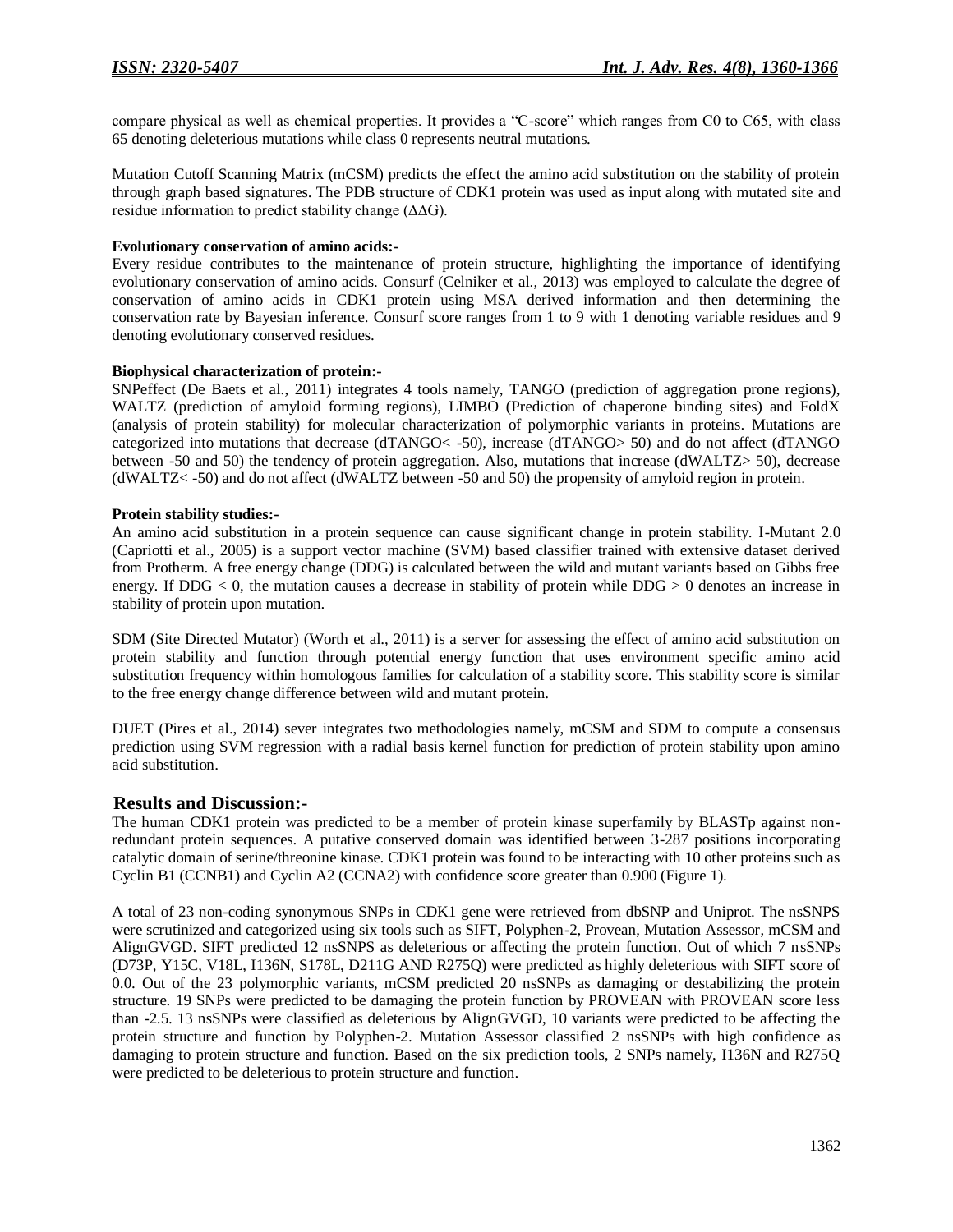compare physical as well as chemical properties. It provides a "C-score" which ranges from C0 to C65, with class 65 denoting deleterious mutations while class 0 represents neutral mutations.

Mutation Cutoff Scanning Matrix (mCSM) predicts the effect the amino acid substitution on the stability of protein through graph based signatures. The PDB structure of CDK1 protein was used as input along with mutated site and residue information to predict stability change (∆∆G).

## **Evolutionary conservation of amino acids:-**

Every residue contributes to the maintenance of protein structure, highlighting the importance of identifying evolutionary conservation of amino acids. Consurf (Celniker et al., 2013) was employed to calculate the degree of conservation of amino acids in CDK1 protein using MSA derived information and then determining the conservation rate by Bayesian inference. Consurf score ranges from 1 to 9 with 1 denoting variable residues and 9 denoting evolutionary conserved residues.

## **Biophysical characterization of protein:-**

SNPeffect (De Baets et al., 2011) integrates 4 tools namely, TANGO (prediction of aggregation prone regions), WALTZ (prediction of amyloid forming regions), LIMBO (Prediction of chaperone binding sites) and FoldX (analysis of protein stability) for molecular characterization of polymorphic variants in proteins. Mutations are categorized into mutations that decrease (dTANGO< -50), increase (dTANGO> 50) and do not affect (dTANGO between -50 and 50) the tendency of protein aggregation. Also, mutations that increase (dWALTZ> 50), decrease (dWALTZ< -50) and do not affect (dWALTZ between -50 and 50) the propensity of amyloid region in protein.

## **Protein stability studies:-**

An amino acid substitution in a protein sequence can cause significant change in protein stability. I-Mutant 2.0 (Capriotti et al., 2005) is a support vector machine (SVM) based classifier trained with extensive dataset derived from Protherm. A free energy change (DDG) is calculated between the wild and mutant variants based on Gibbs free energy. If  $DDG < 0$ , the mutation causes a decrease in stability of protein while  $DDG > 0$  denotes an increase in stability of protein upon mutation.

SDM (Site Directed Mutator) (Worth et al., 2011) is a server for assessing the effect of amino acid substitution on protein stability and function through potential energy function that uses environment specific amino acid substitution frequency within homologous families for calculation of a stability score. This stability score is similar to the free energy change difference between wild and mutant protein.

DUET (Pires et al., 2014) sever integrates two methodologies namely, mCSM and SDM to compute a consensus prediction using SVM regression with a radial basis kernel function for prediction of protein stability upon amino acid substitution.

# **Results and Discussion:-**

The human CDK1 protein was predicted to be a member of protein kinase superfamily by BLASTp against nonredundant protein sequences. A putative conserved domain was identified between 3-287 positions incorporating catalytic domain of serine/threonine kinase. CDK1 protein was found to be interacting with 10 other proteins such as Cyclin B1 (CCNB1) and Cyclin A2 (CCNA2) with confidence score greater than 0.900 (Figure 1).

A total of 23 non-coding synonymous SNPs in CDK1 gene were retrieved from dbSNP and Uniprot. The nsSNPS were scrutinized and categorized using six tools such as SIFT, Polyphen-2, Provean, Mutation Assessor, mCSM and AlignGVGD. SIFT predicted 12 nsSNPS as deleterious or affecting the protein function. Out of which 7 nsSNPs (D73P, Y15C, V18L, I136N, S178L, D211G AND R275Q) were predicted as highly deleterious with SIFT score of 0.0. Out of the 23 polymorphic variants, mCSM predicted 20 nsSNPs as damaging or destabilizing the protein structure. 19 SNPs were predicted to be damaging the protein function by PROVEAN with PROVEAN score less than -2.5. 13 nsSNPs were classified as deleterious by AlignGVGD, 10 variants were predicted to be affecting the protein structure and function by Polyphen-2. Mutation Assessor classified 2 nsSNPs with high confidence as damaging to protein structure and function. Based on the six prediction tools, 2 SNPs namely, I136N and R275Q were predicted to be deleterious to protein structure and function.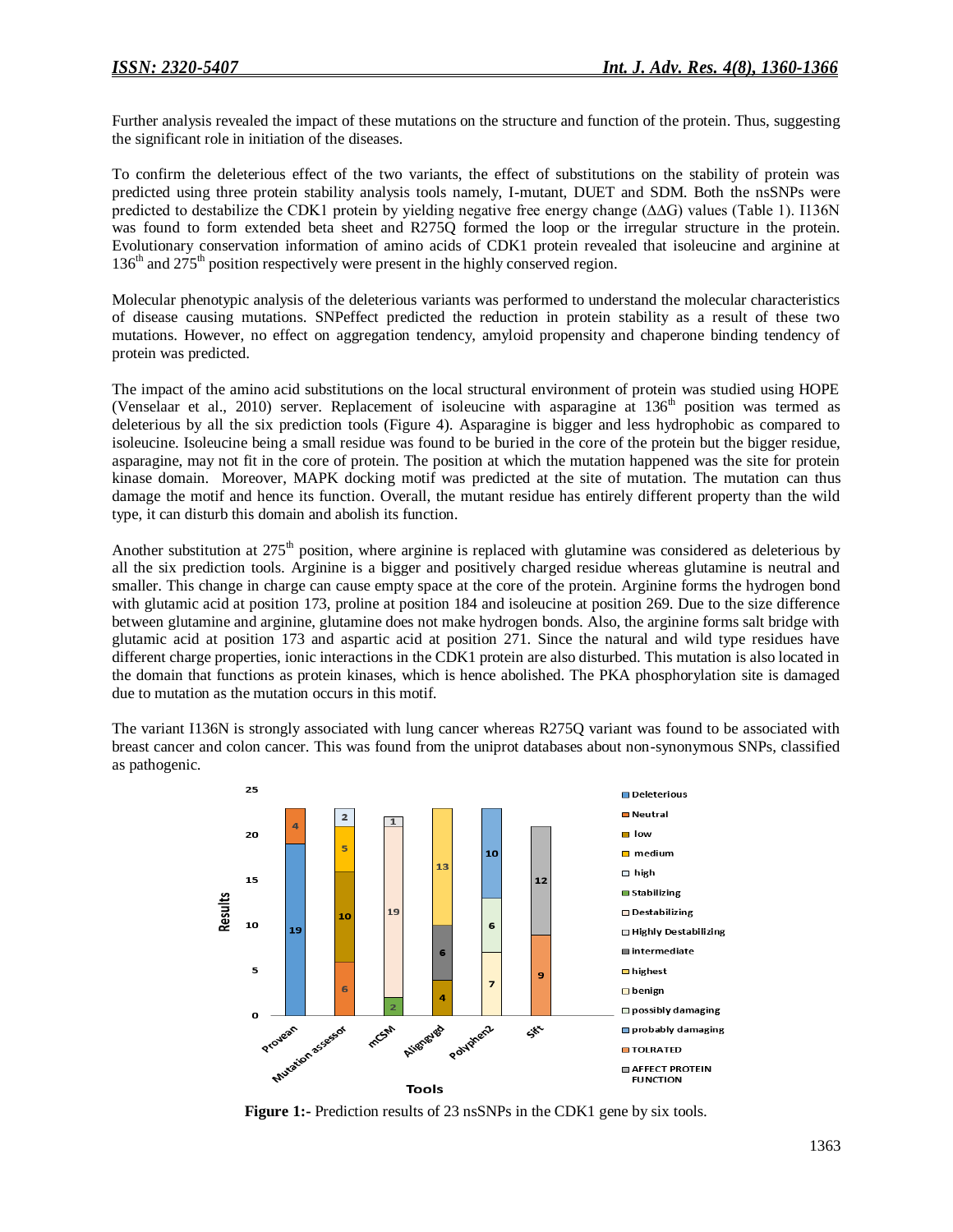Further analysis revealed the impact of these mutations on the structure and function of the protein. Thus, suggesting the significant role in initiation of the diseases.

To confirm the deleterious effect of the two variants, the effect of substitutions on the stability of protein was predicted using three protein stability analysis tools namely, I-mutant, DUET and SDM. Both the nsSNPs were predicted to destabilize the CDK1 protein by yielding negative free energy change (∆∆G) values (Table 1). I136N was found to form extended beta sheet and R275Q formed the loop or the irregular structure in the protein. Evolutionary conservation information of amino acids of CDK1 protein revealed that isoleucine and arginine at  $136<sup>th</sup>$  and  $275<sup>th</sup>$  position respectively were present in the highly conserved region.

Molecular phenotypic analysis of the deleterious variants was performed to understand the molecular characteristics of disease causing mutations. SNPeffect predicted the reduction in protein stability as a result of these two mutations. However, no effect on aggregation tendency, amyloid propensity and chaperone binding tendency of protein was predicted.

The impact of the amino acid substitutions on the local structural environment of protein was studied using HOPE (Venselaar et al., 2010) server. Replacement of isoleucine with asparagine at  $136<sup>th</sup>$  position was termed as deleterious by all the six prediction tools (Figure 4). Asparagine is bigger and less hydrophobic as compared to isoleucine. Isoleucine being a small residue was found to be buried in the core of the protein but the bigger residue, asparagine, may not fit in the core of protein. The position at which the mutation happened was the site for protein kinase domain. Moreover, MAPK docking motif was predicted at the site of mutation. The mutation can thus damage the motif and hence its function. Overall, the mutant residue has entirely different property than the wild type, it can disturb this domain and abolish its function.

Another substitution at  $275<sup>th</sup>$  position, where arginine is replaced with glutamine was considered as deleterious by all the six prediction tools. Arginine is a bigger and positively charged residue whereas glutamine is neutral and smaller. This change in charge can cause empty space at the core of the protein. Arginine forms the hydrogen bond with glutamic acid at position 173, proline at position 184 and isoleucine at position 269. Due to the size difference between glutamine and arginine, glutamine does not make hydrogen bonds. Also, the arginine forms salt bridge with glutamic acid at position 173 and aspartic acid at position 271. Since the natural and wild type residues have different charge properties, ionic interactions in the CDK1 protein are also disturbed. This mutation is also located in the domain that functions as protein kinases, which is hence abolished. The PKA phosphorylation site is damaged due to mutation as the mutation occurs in this motif.

The variant I136N is strongly associated with lung cancer whereas R275Q variant was found to be associated with breast cancer and colon cancer. This was found from the uniprot databases about non-synonymous SNPs, classified as pathogenic.



**Figure 1:-** Prediction results of 23 nsSNPs in the CDK1 gene by six tools.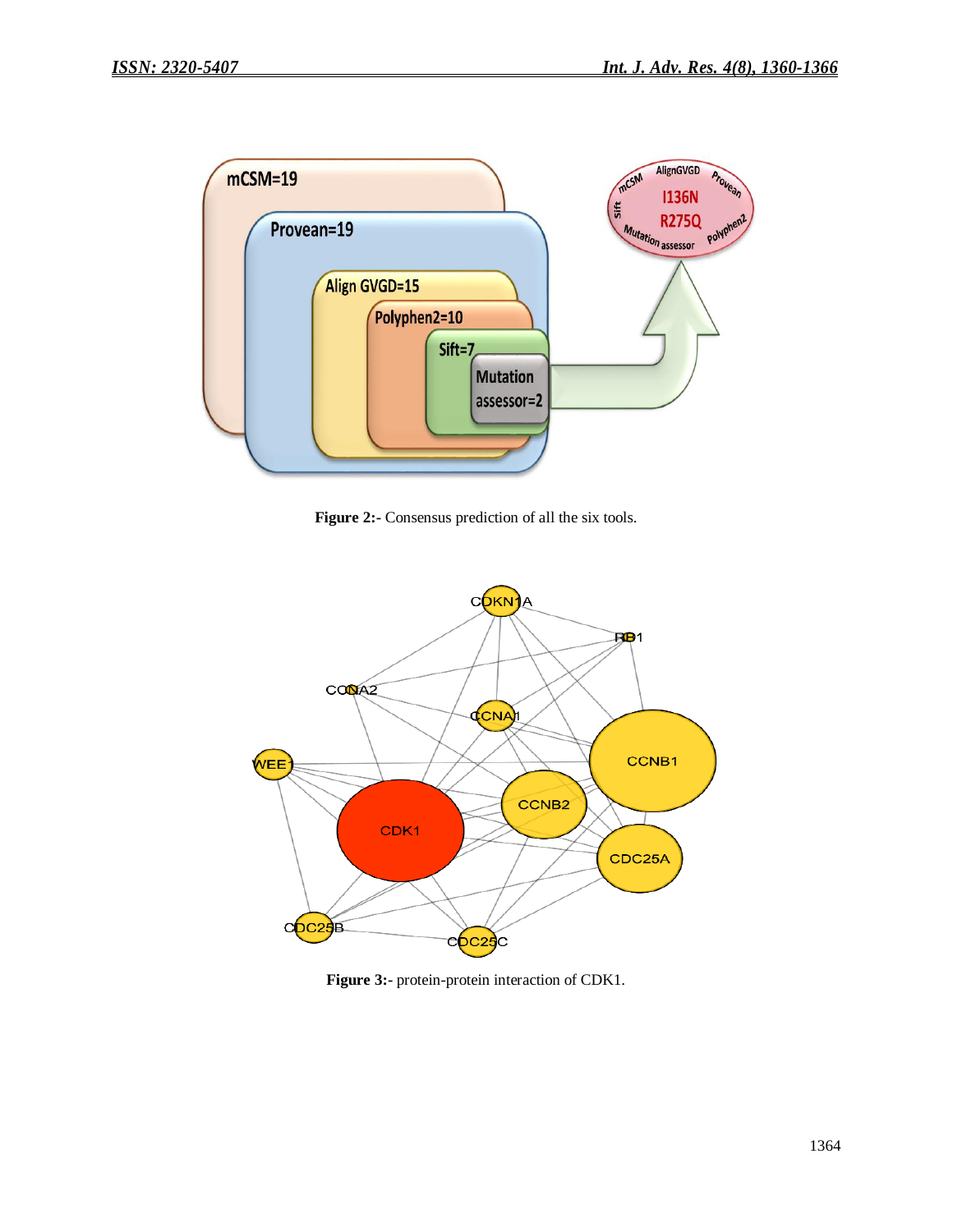

Figure 2:- Consensus prediction of all the six tools.



**Figure 3:-** protein-protein interaction of CDK1.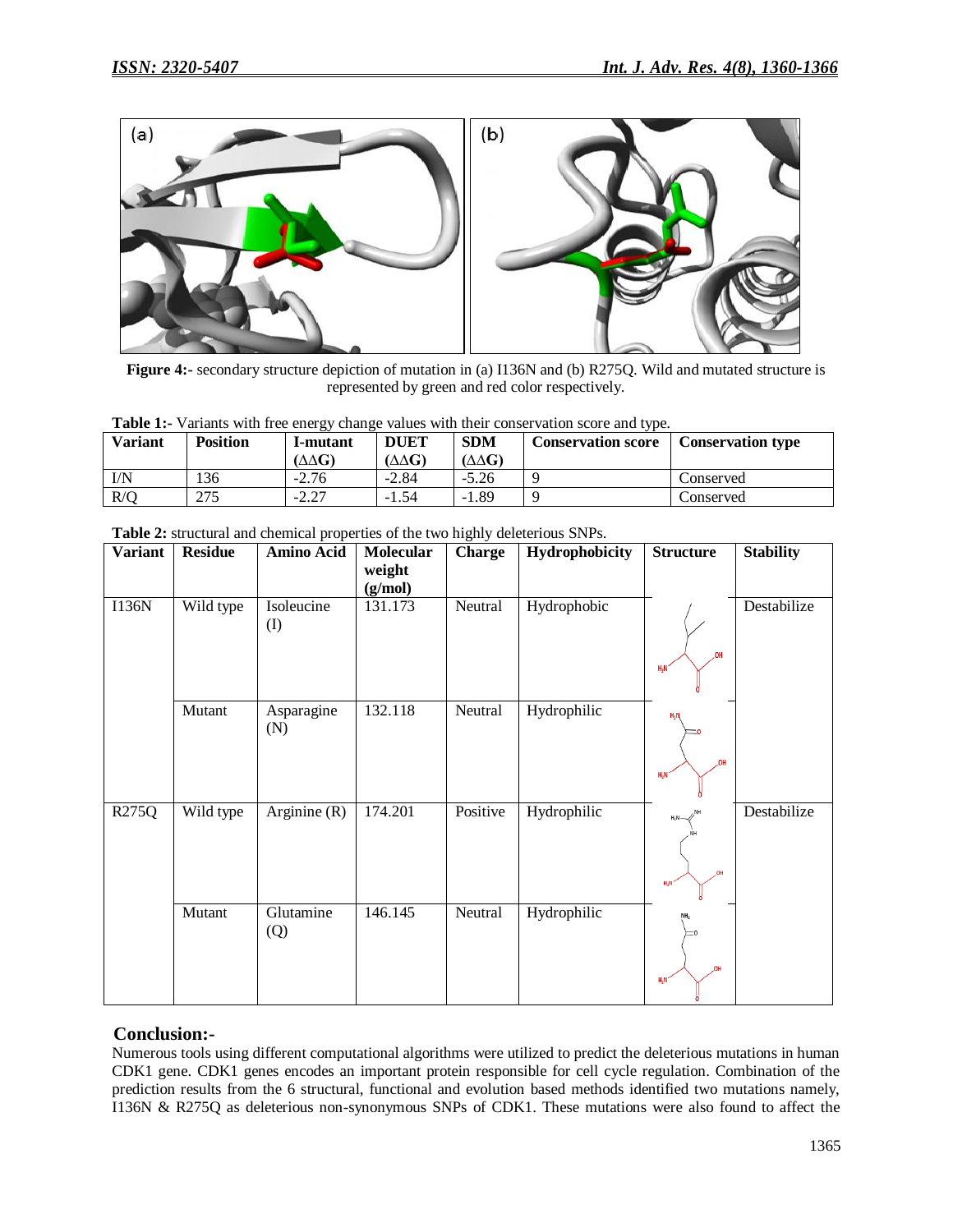

**Figure 4:-** secondary structure depiction of mutation in (a) I136N and (b) R275Q. Wild and mutated structure is represented by green and red color respectively.

|  |  |  |  |  | <b>Table 1:-</b> Variants with free energy change values with their conservation score and type. |
|--|--|--|--|--|--------------------------------------------------------------------------------------------------|
|--|--|--|--|--|--------------------------------------------------------------------------------------------------|

| <b>Variant</b> | <b>Position</b> | I-mutant<br>( $\Delta \Delta G$ ) | <b>DUET</b><br>$(\Delta \Delta G)$ | <b>SDM</b><br>$(\Delta \Delta G)$ | <b>Conservation score</b> | <b>Conservation type</b> |
|----------------|-----------------|-----------------------------------|------------------------------------|-----------------------------------|---------------------------|--------------------------|
| $\rm I/N$      | 136             | $-2.76$                           | $-2.84$                            | $-5.26$                           |                           | Conserved                |
| R/Q            | 275             | $-2.27$                           | $-1.54$                            | $-1.89$                           |                           | Conserved                |

| Table 2: structural and chemical properties of the two highly deleterious SNPs. |  |  |
|---------------------------------------------------------------------------------|--|--|
|---------------------------------------------------------------------------------|--|--|

| <b>Variant</b> | <b>Residue</b> | <b>Amino Acid</b>       | Molecular         | <b>Charge</b> | Hydrophobicity | <b>Structure</b> | <b>Stability</b> |
|----------------|----------------|-------------------------|-------------------|---------------|----------------|------------------|------------------|
|                |                |                         | weight<br>(g/mol) |               |                |                  |                  |
| I136N          | Wild type      | Isoleucine<br>$\rm (I)$ | 131.173           | Neutral       | Hydrophobic    | .OH<br>$H_2N'$   | Destabilize      |
|                | Mutant         | Asparagine<br>(N)       | 132.118           | Neutral       | Hydrophilic    | $H_2N$<br>$H_2N$ |                  |
| R275Q          | Wild type      | Arginine $(R)$          | 174.201           | Positive      | Hydrophilic    | $H_2N$<br>$H_2N$ | Destabilize      |
|                | Mutant         | Glutamine<br>(Q)        | 146.145           | Neutral       | Hydrophilic    | NH,<br>$H_2N^*$  |                  |

# **Conclusion:-**

Numerous tools using different computational algorithms were utilized to predict the deleterious mutations in human CDK1 gene. CDK1 genes encodes an important protein responsible for cell cycle regulation. Combination of the prediction results from the 6 structural, functional and evolution based methods identified two mutations namely, I136N & R275Q as deleterious non-synonymous SNPs of CDK1. These mutations were also found to affect the